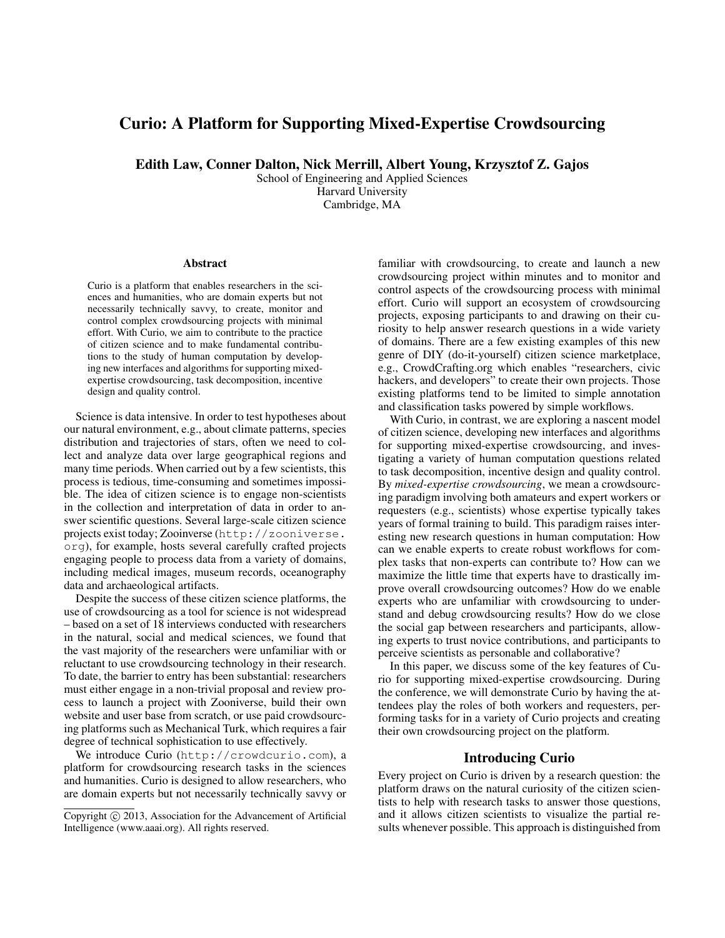# Curio: A Platform for Supporting Mixed-Expertise Crowdsourcing

Edith Law, Conner Dalton, Nick Merrill, Albert Young, Krzysztof Z. Gajos

School of Engineering and Applied Sciences Harvard University Cambridge, MA

#### Abstract

Curio is a platform that enables researchers in the sciences and humanities, who are domain experts but not necessarily technically savvy, to create, monitor and control complex crowdsourcing projects with minimal effort. With Curio, we aim to contribute to the practice of citizen science and to make fundamental contributions to the study of human computation by developing new interfaces and algorithms for supporting mixedexpertise crowdsourcing, task decomposition, incentive design and quality control.

Science is data intensive. In order to test hypotheses about our natural environment, e.g., about climate patterns, species distribution and trajectories of stars, often we need to collect and analyze data over large geographical regions and many time periods. When carried out by a few scientists, this process is tedious, time-consuming and sometimes impossible. The idea of citizen science is to engage non-scientists in the collection and interpretation of data in order to answer scientific questions. Several large-scale citizen science projects exist today; Zooinverse (http://zooniverse. org), for example, hosts several carefully crafted projects engaging people to process data from a variety of domains, including medical images, museum records, oceanography data and archaeological artifacts.

Despite the success of these citizen science platforms, the use of crowdsourcing as a tool for science is not widespread – based on a set of 18 interviews conducted with researchers in the natural, social and medical sciences, we found that the vast majority of the researchers were unfamiliar with or reluctant to use crowdsourcing technology in their research. To date, the barrier to entry has been substantial: researchers must either engage in a non-trivial proposal and review process to launch a project with Zooniverse, build their own website and user base from scratch, or use paid crowdsourcing platforms such as Mechanical Turk, which requires a fair degree of technical sophistication to use effectively.

We introduce Curio (http://crowdcurio.com), a platform for crowdsourcing research tasks in the sciences and humanities. Curio is designed to allow researchers, who are domain experts but not necessarily technically savvy or familiar with crowdsourcing, to create and launch a new crowdsourcing project within minutes and to monitor and control aspects of the crowdsourcing process with minimal effort. Curio will support an ecosystem of crowdsourcing projects, exposing participants to and drawing on their curiosity to help answer research questions in a wide variety of domains. There are a few existing examples of this new genre of DIY (do-it-yourself) citizen science marketplace, e.g., CrowdCrafting.org which enables "researchers, civic hackers, and developers" to create their own projects. Those existing platforms tend to be limited to simple annotation and classification tasks powered by simple workflows.

With Curio, in contrast, we are exploring a nascent model of citizen science, developing new interfaces and algorithms for supporting mixed-expertise crowdsourcing, and investigating a variety of human computation questions related to task decomposition, incentive design and quality control. By *mixed-expertise crowdsourcing*, we mean a crowdsourcing paradigm involving both amateurs and expert workers or requesters (e.g., scientists) whose expertise typically takes years of formal training to build. This paradigm raises interesting new research questions in human computation: How can we enable experts to create robust workflows for complex tasks that non-experts can contribute to? How can we maximize the little time that experts have to drastically improve overall crowdsourcing outcomes? How do we enable experts who are unfamiliar with crowdsourcing to understand and debug crowdsourcing results? How do we close the social gap between researchers and participants, allowing experts to trust novice contributions, and participants to perceive scientists as personable and collaborative?

In this paper, we discuss some of the key features of Curio for supporting mixed-expertise crowdsourcing. During the conference, we will demonstrate Curio by having the attendees play the roles of both workers and requesters, performing tasks for in a variety of Curio projects and creating their own crowdsourcing project on the platform.

#### Introducing Curio

Every project on Curio is driven by a research question: the platform draws on the natural curiosity of the citizen scientists to help with research tasks to answer those questions, and it allows citizen scientists to visualize the partial results whenever possible. This approach is distinguished from

Copyright (c) 2013, Association for the Advancement of Artificial Intelligence (www.aaai.org). All rights reserved.